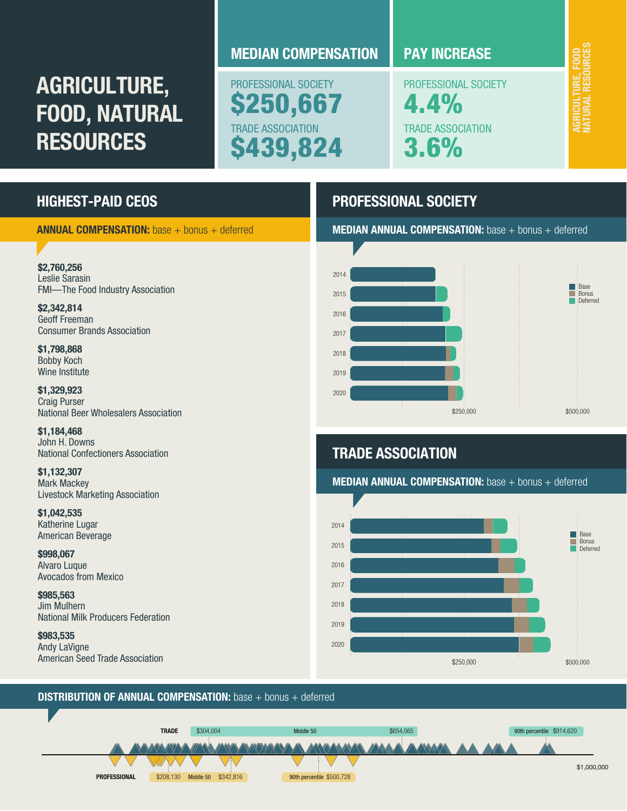# AGRICULTURE, FOOD, NATURAL **RESOURCES**

# MEDIAN COMPENSATION **PAY INCREASE**

PROFESSIONAL SOCIETY 250,667 TRADE ASSOCIATION \$439,824

PROFESSIONAL SOCIETY 4.4% TRADE ASSOCIATION 3.6%

NATURAL RESOURCES AGRICULTURE, FOOD<br>NATURAL RESOURCES AGRICULTURE, FOOD

# HIGHEST-PAID CEOS

ANNUAL COMPENSATION: base + bonus + deferred MEDIAN ANNUAL COMPENSATION: base + bonus + deferred

# \$2,760,256

Leslie Sarasin FMI—The Food Industry Association

\$2,342,814 Geoff Freeman Consumer Brands Association

\$1,798,868 Bobby Koch Wine Institute

\$1,329,923 Craig Purser National Beer Wholesalers Association

\$1,184,468 John H. Downs National Confectioners Association

\$1,132,307 Mark Mackey Livestock Marketing Association

\$1,042,535 Katherine Lugar American Beverage

\$998,067 Alvaro Luque Avocados from Mexico

\$985,563 Jim Mulhern National Milk Producers Federation

\$983,535 Andy LaVigne American Seed Trade Association





# TRADE ASSOCIATION

MEDIAN ANNUAL COMPENSATION: base + bonus + deferred



### **DISTRIBUTION OF ANNUAL COMPENSATION:** base + bonus + deferred